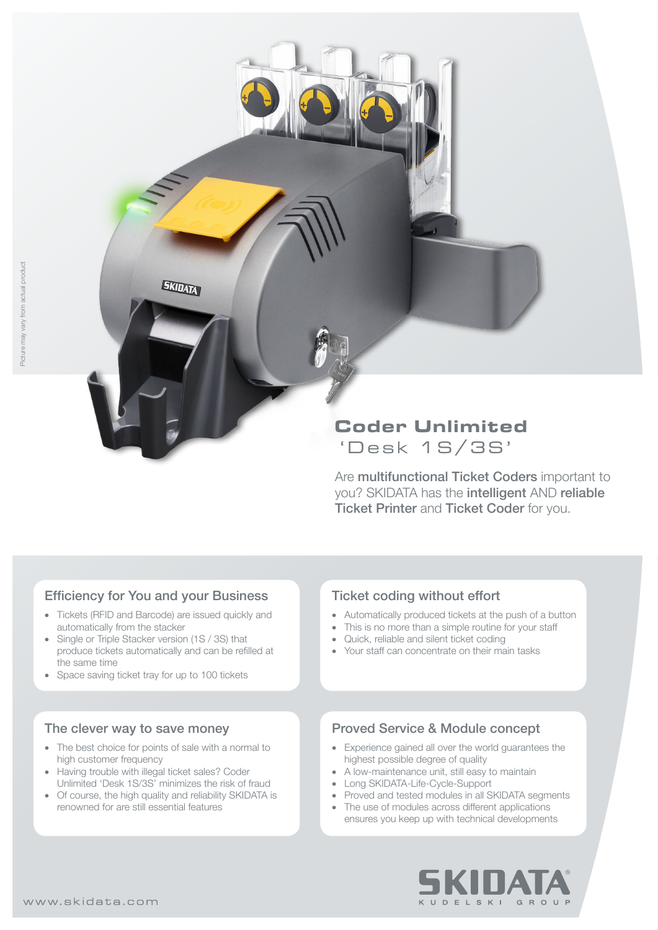# **Coder Unlimited** 'Desk 1S/3S'

Are **multifunctional Ticket Coders** important to you? SKIDATA has the intelligent AND reliable **Ticket Printer and Ticket Coder for you.** 

# Efficiency for You and your Business

**EKIDATA** 

- Tickets (RFID and Barcode) are issued quickly and automatically from the stacker
- Single or Triple Stacker version (1S / 3S) that produce tickets automatically and can be refilled at the same time
- Space saving ticket tray for up to 100 tickets

### The clever way to save money

- The best choice for points of sale with a normal to high customer frequency
- Having trouble with illegal ticket sales? Coder Unlimited 'Desk 1S/3S' minimizes the risk of fraud
- Of course, the high quality and reliability SKIDATA is renowned for are still essential features

# Ticket coding without effort

- • Automatically produced tickets at the push of a button
- This is no more than a simple routine for your staff
- Quick, reliable and silent ticket coding
- Your staff can concentrate on their main tasks

# Proved Service & Module concept

- • Experience gained all over the world guarantees the highest possible degree of quality
- A low-maintenance unit, still easy to maintain
- Long SKIDATA-Life-Cycle-Support
- Proved and tested modules in all SKIDATA segments
- The use of modules across different applications ensures you keep up with technical developments